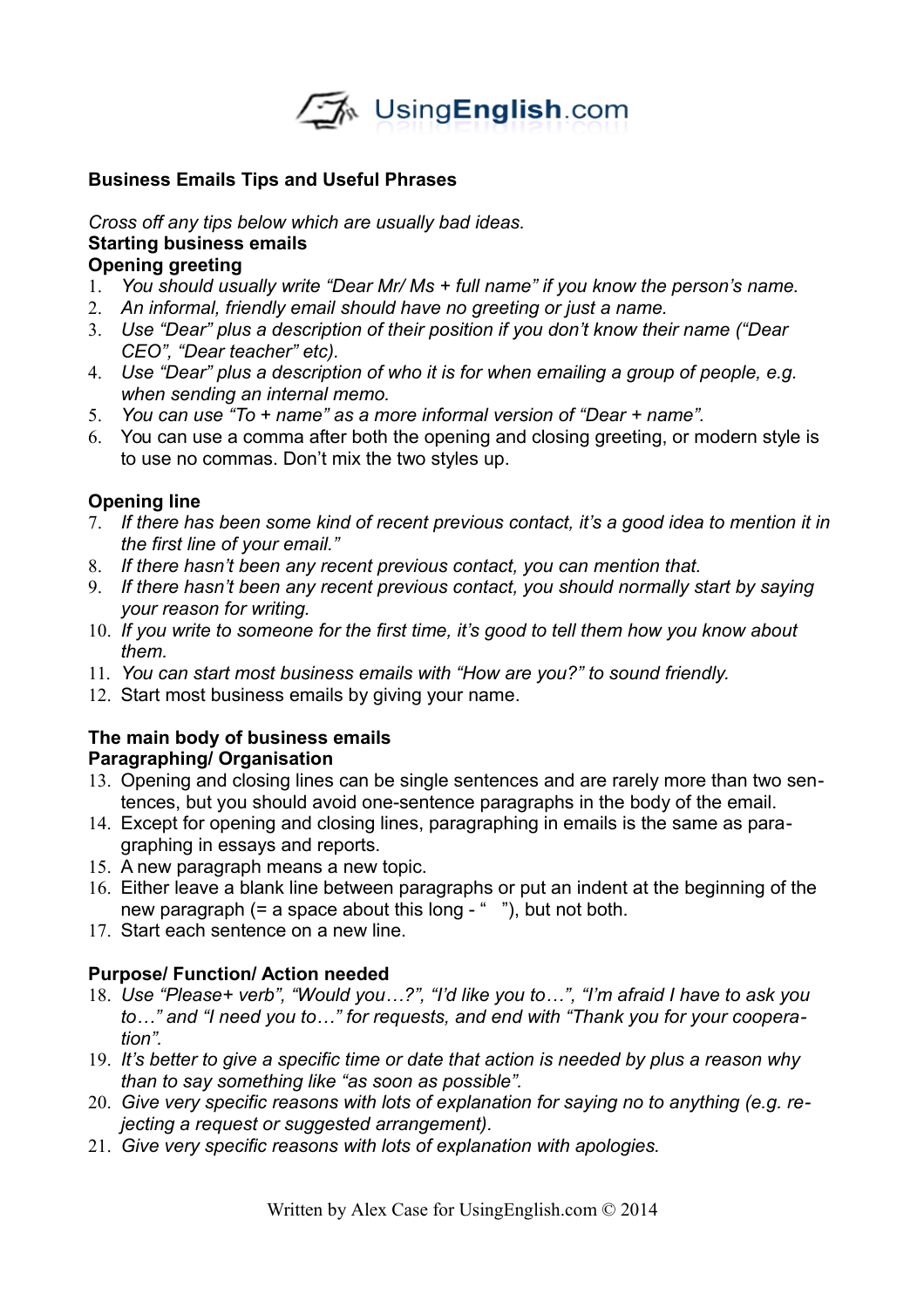

### **Business Emails Tips and Useful Phrases**

*Cross off any tips below which are usually bad ideas.* **Starting business emails Opening greeting**

- 1. *You should usually write "Dear Mr/ Ms + full name" if you know the person's name.*
- 2. *An informal, friendly email should have no greeting or just a name.*
- 3. *Use "Dear" plus a description of their position if you don't know their name ("Dear CEO", "Dear teacher" etc).*
- 4. *Use "Dear" plus a description of who it is for when emailing a group of people, e.g. when sending an internal memo.*
- 5. *You can use "To + name" as a more informal version of "Dear + name".*
- 6. You can use a comma after both the opening and closing greeting, or modern style is to use no commas. Don't mix the two styles up.

### **Opening line**

- 7. *If there has been some kind of recent previous contact, it's a good idea to mention it in the first line of your email."*
- 8. *If there hasn't been any recent previous contact, you can mention that.*
- 9. *If there hasn't been any recent previous contact, you should normally start by saying your reason for writing.*
- 10. *If you write to someone for the first time, it's good to tell them how you know about them.*
- 11. *You can start most business emails with "How are you?" to sound friendly.*
- 12. Start most business emails by giving your name.

### **The main body of business emails Paragraphing/ Organisation**

- 13. Opening and closing lines can be single sentences and are rarely more than two sentences, but you should avoid one-sentence paragraphs in the body of the email.
- 14. Except for opening and closing lines, paragraphing in emails is the same as paragraphing in essays and reports.
- 15. A new paragraph means a new topic.
- 16. Either leave a blank line between paragraphs or put an indent at the beginning of the new paragraph (= a space about this long - " "), but not both.
- 17. Start each sentence on a new line.

# **Purpose/ Function/ Action needed**

- 18. *Use "Please+ verb", "Would you…?", "I'd like you to…", "I'm afraid I have to ask you to…" and "I need you to…" for requests, and end with "Thank you for your cooperation".*
- 19. *It's better to give a specific time or date that action is needed by plus a reason why than to say something like "as soon as possible".*
- 20. *Give very specific reasons with lots of explanation for saying no to anything (e.g. rejecting a request or suggested arrangement).*
- 21. *Give very specific reasons with lots of explanation with apologies.*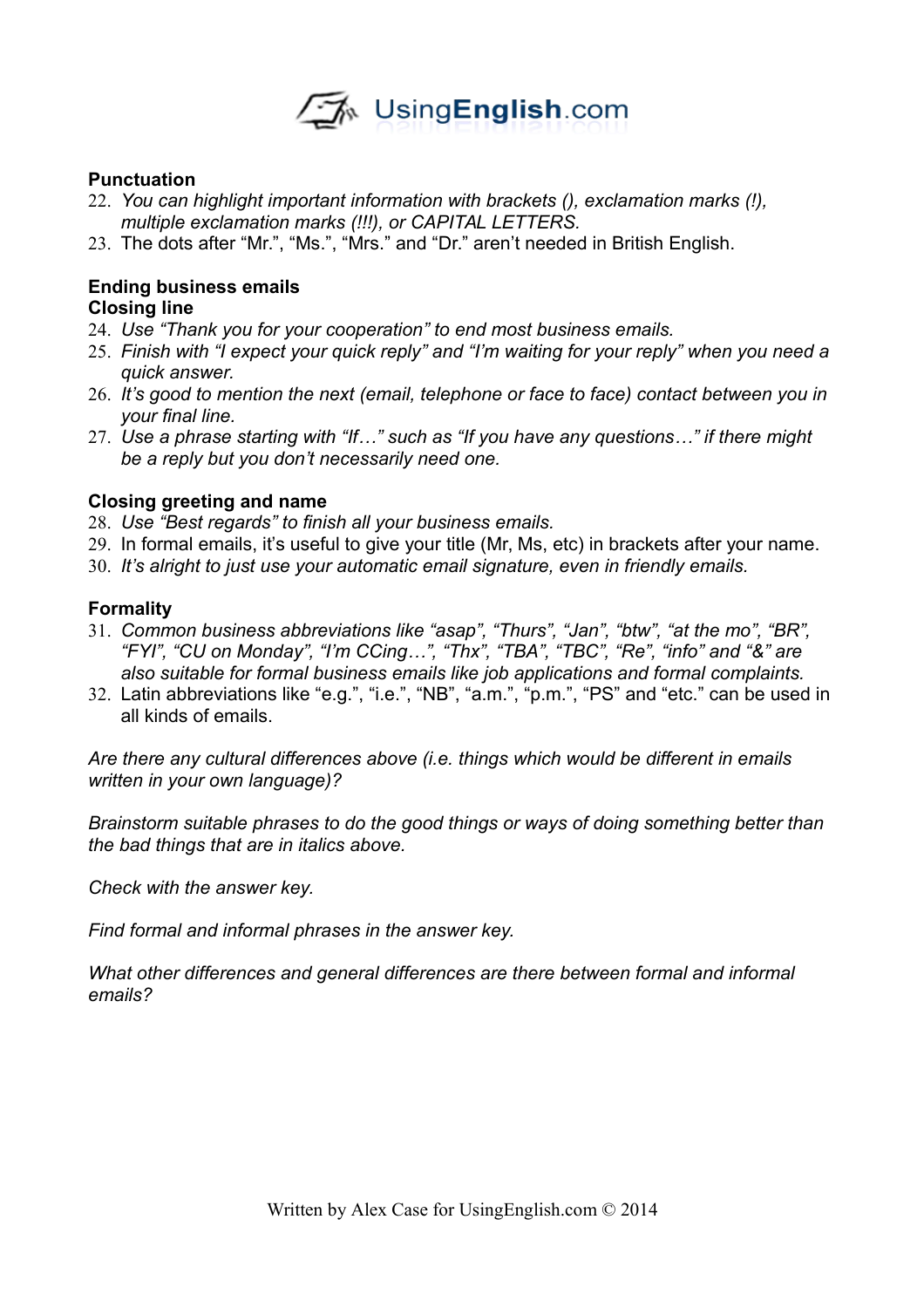

### **Punctuation**

- 22. *You can highlight important information with brackets (), exclamation marks (!), multiple exclamation marks (!!!), or CAPITAL LETTERS.*
- 23. The dots after "Mr.", "Ms.", "Mrs." and "Dr." aren't needed in British English.

#### **Ending business emails Closing line**

- 24. *Use "Thank you for your cooperation" to end most business emails.*
- 25. *Finish with "I expect your quick reply" and "I'm waiting for your reply" when you need a quick answer.*
- 26. *It's good to mention the next (email, telephone or face to face) contact between you in your final line.*
- 27. *Use a phrase starting with "If…" such as "If you have any questions…" if there might be a reply but you don't necessarily need one.*

### **Closing greeting and name**

- 28. *Use "Best regards" to finish all your business emails.*
- 29. In formal emails, it's useful to give your title (Mr, Ms, etc) in brackets after your name.
- 30. *It's alright to just use your automatic email signature, even in friendly emails.*

#### **Formality**

- 31. *Common business abbreviations like "asap", "Thurs", "Jan", "btw", "at the mo", "BR", "FYI", "CU on Monday", "I'm CCing…", "Thx", "TBA", "TBC", "Re", "info" and "&" are also suitable for formal business emails like job applications and formal complaints.*
- 32. Latin abbreviations like "e.g.", "i.e.", "NB", "a.m.", "p.m.", "PS" and "etc." can be used in all kinds of emails.

*Are there any cultural differences above (i.e. things which would be different in emails written in your own language)?*

*Brainstorm suitable phrases to do the good things or ways of doing something better than the bad things that are in italics above.*

*Check with the answer key.*

*Find formal and informal phrases in the answer key.*

*What other differences and general differences are there between formal and informal emails?*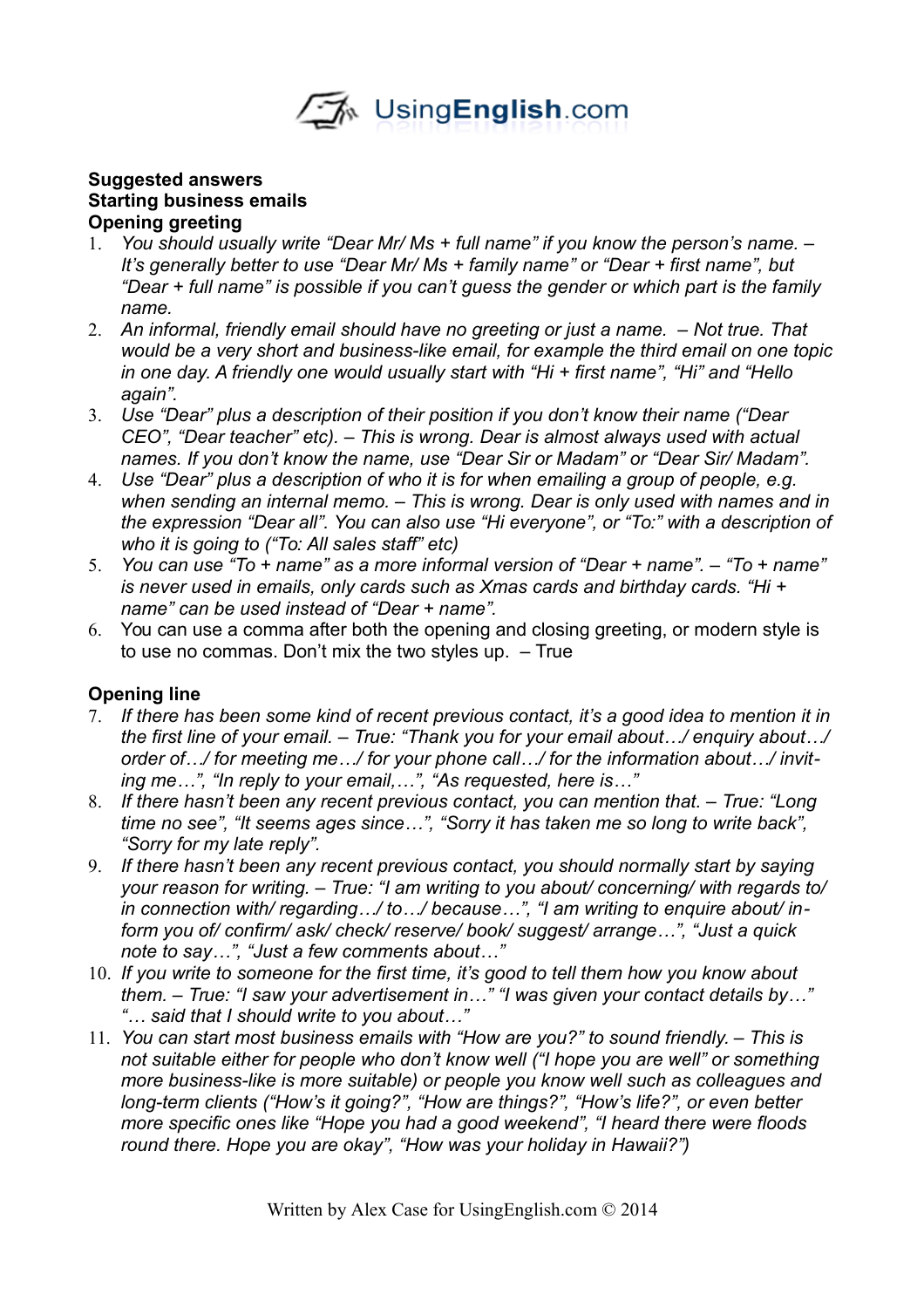

### **Suggested answers Starting business emails Opening greeting**

- 1. *You should usually write "Dear Mr/ Ms + full name" if you know the person's name. It's generally better to use "Dear Mr/ Ms + family name" or "Dear + first name", but "Dear + full name" is possible if you can't guess the gender or which part is the family name.*
- 2. *An informal, friendly email should have no greeting or just a name. Not true. That would be a very short and business-like email, for example the third email on one topic in one day. A friendly one would usually start with "Hi + first name", "Hi" and "Hello again".*
- 3. *Use "Dear" plus a description of their position if you don't know their name ("Dear CEO", "Dear teacher" etc). – This is wrong. Dear is almost always used with actual names. If you don't know the name, use "Dear Sir or Madam" or "Dear Sir/ Madam".*
- 4. *Use "Dear" plus a description of who it is for when emailing a group of people, e.g. when sending an internal memo. – This is wrong. Dear is only used with names and in the expression "Dear all". You can also use "Hi everyone", or "To:" with a description of who it is going to ("To: All sales staff" etc)*
- 5. *You can use "To + name" as a more informal version of "Dear + name". "To + name" is never used in emails, only cards such as Xmas cards and birthday cards. "Hi + name" can be used instead of "Dear + name".*
- 6. You can use a comma after both the opening and closing greeting, or modern style is to use no commas. Don't mix the two styles up. – True

# **Opening line**

- 7. *If there has been some kind of recent previous contact, it's a good idea to mention it in the first line of your email. – True: "Thank you for your email about…/ enquiry about…/ order of…/ for meeting me…/ for your phone call…/ for the information about…/ inviting me…", "In reply to your email,…", "As requested, here is…"*
- 8. *If there hasn't been any recent previous contact, you can mention that. True: "Long time no see", "It seems ages since…", "Sorry it has taken me so long to write back", "Sorry for my late reply".*
- 9. *If there hasn't been any recent previous contact, you should normally start by saying your reason for writing. – True: "I am writing to you about/ concerning/ with regards to/ in connection with/ regarding…/ to…/ because…", "I am writing to enquire about/ inform you of/ confirm/ ask/ check/ reserve/ book/ suggest/ arrange…", "Just a quick note to say…", "Just a few comments about…"*
- 10. *If you write to someone for the first time, it's good to tell them how you know about them. – True: "I saw your advertisement in…" "I was given your contact details by…" "… said that I should write to you about…"*
- 11. *You can start most business emails with "How are you?" to sound friendly. This is not suitable either for people who don't know well ("I hope you are well" or something more business-like is more suitable) or people you know well such as colleagues and long-term clients ("How's it going?", "How are things?", "How's life?", or even better more specific ones like "Hope you had a good weekend", "I heard there were floods round there. Hope you are okay", "How was your holiday in Hawaii?")*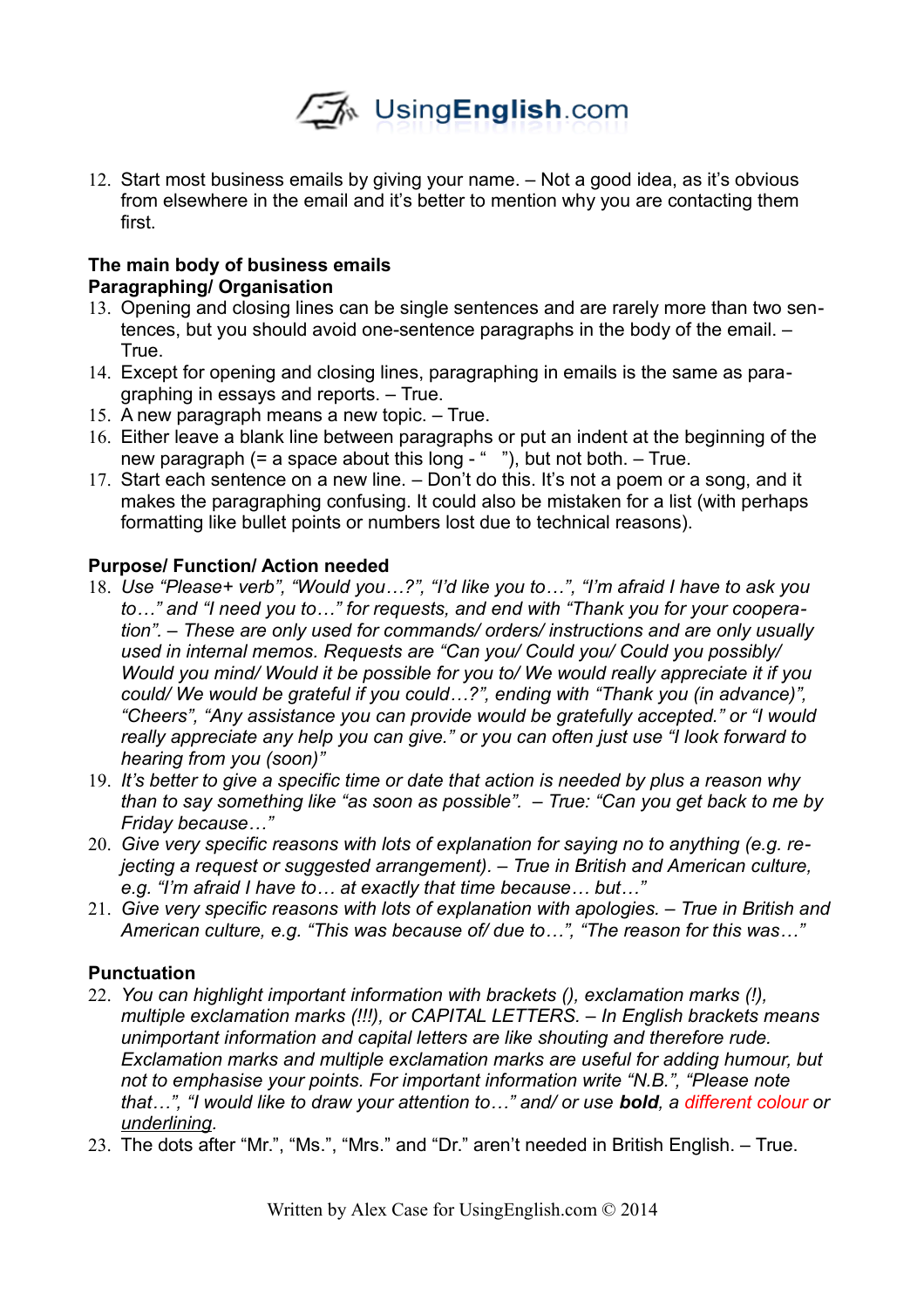

12. Start most business emails by giving your name. – Not a good idea, as it's obvious from elsewhere in the email and it's better to mention why you are contacting them first.

# **The main body of business emails Paragraphing/ Organisation**

- 13. Opening and closing lines can be single sentences and are rarely more than two sentences, but you should avoid one-sentence paragraphs in the body of the email. – True.
- 14. Except for opening and closing lines, paragraphing in emails is the same as paragraphing in essays and reports. – True.
- 15. A new paragraph means a new topic. True.
- 16. Either leave a blank line between paragraphs or put an indent at the beginning of the new paragraph  $(= a \text{ space about this long} - \text{``''})$ , but not both.  $-$  True.
- 17. Start each sentence on a new line. Don't do this. It's not a poem or a song, and it makes the paragraphing confusing. It could also be mistaken for a list (with perhaps formatting like bullet points or numbers lost due to technical reasons).

# **Purpose/ Function/ Action needed**

- 18. *Use "Please+ verb", "Would you…?", "I'd like you to…", "I'm afraid I have to ask you to…" and "I need you to…" for requests, and end with "Thank you for your cooperation". – These are only used for commands/ orders/ instructions and are only usually used in internal memos. Requests are "Can you/ Could you/ Could you possibly/ Would you mind/ Would it be possible for you to/ We would really appreciate it if you could/ We would be grateful if you could…?", ending with "Thank you (in advance)", "Cheers", "Any assistance you can provide would be gratefully accepted." or "I would really appreciate any help you can give." or you can often just use "I look forward to hearing from you (soon)"*
- 19. *It's better to give a specific time or date that action is needed by plus a reason why than to say something like "as soon as possible". – True: "Can you get back to me by Friday because…"*
- 20. *Give very specific reasons with lots of explanation for saying no to anything (e.g. rejecting a request or suggested arrangement). – True in British and American culture, e.g. "I'm afraid I have to… at exactly that time because… but…"*
- 21. *Give very specific reasons with lots of explanation with apologies. True in British and American culture, e.g. "This was because of/ due to…", "The reason for this was…"*

# **Punctuation**

- 22. *You can highlight important information with brackets (), exclamation marks (!), multiple exclamation marks (!!!), or CAPITAL LETTERS. – In English brackets means unimportant information and capital letters are like shouting and therefore rude. Exclamation marks and multiple exclamation marks are useful for adding humour, but not to emphasise your points. For important information write "N.B.", "Please note that…", "I would like to draw your attention to…" and/ or use bold, a different colour or underlining.*
- 23. The dots after "Mr.", "Ms.", "Mrs." and "Dr." aren't needed in British English. True.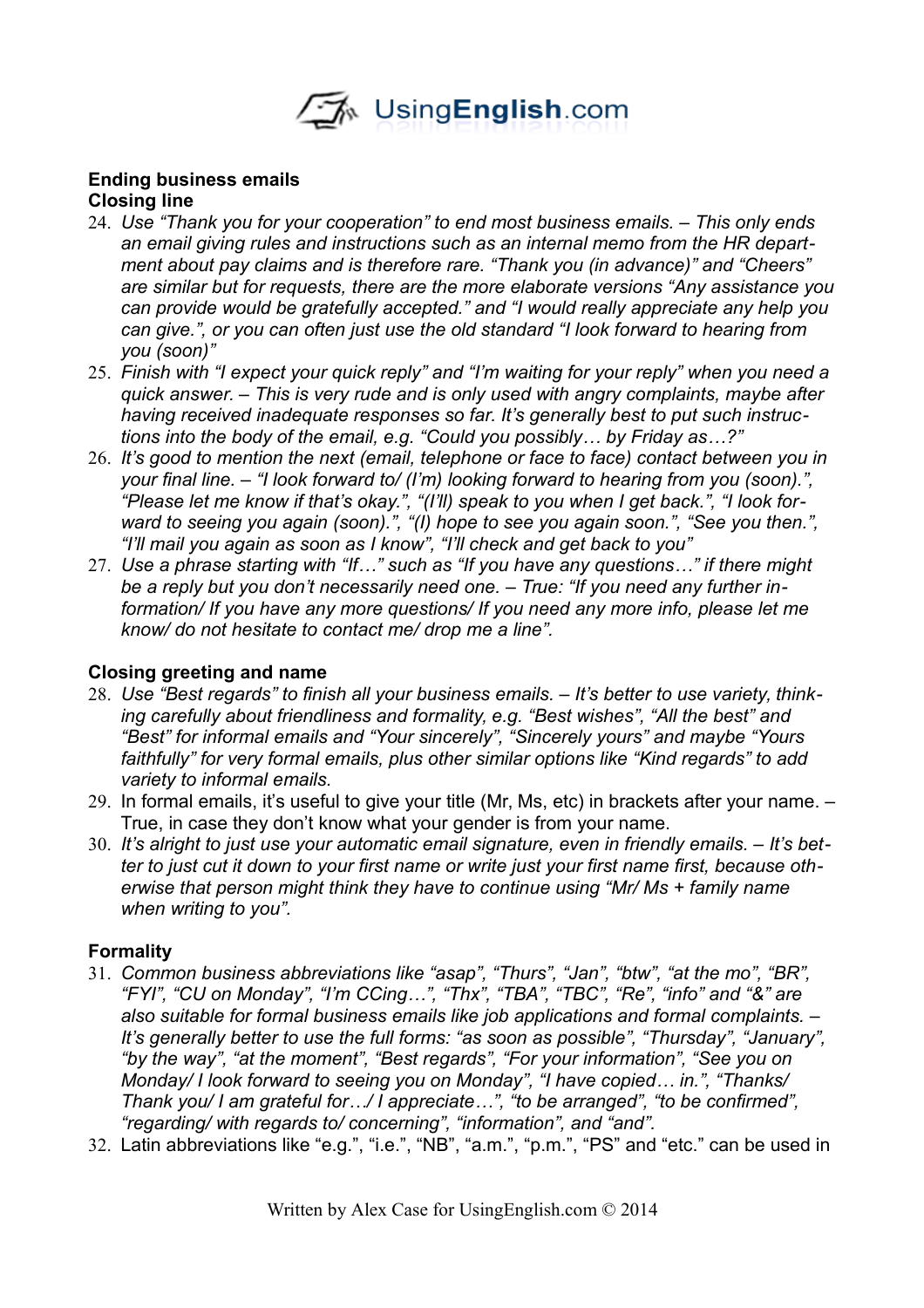

#### **Ending business emails Closing line**

- 24. *Use "Thank you for your cooperation" to end most business emails. This only ends an email giving rules and instructions such as an internal memo from the HR department about pay claims and is therefore rare. "Thank you (in advance)" and "Cheers" are similar but for requests, there are the more elaborate versions "Any assistance you can provide would be gratefully accepted." and "I would really appreciate any help you can give.", or you can often just use the old standard "I look forward to hearing from you (soon)"*
- 25. *Finish with "I expect your quick reply" and "I'm waiting for your reply" when you need a quick answer. – This is very rude and is only used with angry complaints, maybe after having received inadequate responses so far. It's generally best to put such instructions into the body of the email, e.g. "Could you possibly… by Friday as…?"*
- 26. *It's good to mention the next (email, telephone or face to face) contact between you in your final line. – "I look forward to/ (I'm) looking forward to hearing from you (soon).", "Please let me know if that's okay.", "(I'll) speak to you when I get back.", "I look forward to seeing you again (soon).", "(I) hope to see you again soon.", "See you then.", "I'll mail you again as soon as I know", "I'll check and get back to you"*
- 27. *Use a phrase starting with "If…" such as "If you have any questions…" if there might be a reply but you don't necessarily need one. – True: "If you need any further information/ If you have any more questions/ If you need any more info, please let me know/ do not hesitate to contact me/ drop me a line".*

# **Closing greeting and name**

- 28. *Use "Best regards" to finish all your business emails. It's better to use variety, thinking carefully about friendliness and formality, e.g. "Best wishes", "All the best" and "Best" for informal emails and "Your sincerely", "Sincerely yours" and maybe "Yours faithfully" for very formal emails, plus other similar options like "Kind regards" to add variety to informal emails.*
- 29. In formal emails, it's useful to give your title (Mr, Ms, etc) in brackets after your name. True, in case they don't know what your gender is from your name.
- 30. *It's alright to just use your automatic email signature, even in friendly emails. It's better to just cut it down to your first name or write just your first name first, because otherwise that person might think they have to continue using "Mr/ Ms + family name when writing to you".*

### **Formality**

- 31. *Common business abbreviations like "asap", "Thurs", "Jan", "btw", "at the mo", "BR", "FYI", "CU on Monday", "I'm CCing…", "Thx", "TBA", "TBC", "Re", "info" and "&" are also suitable for formal business emails like job applications and formal complaints. – It's generally better to use the full forms: "as soon as possible", "Thursday", "January", "by the way", "at the moment", "Best regards", "For your information", "See you on Monday/ I look forward to seeing you on Monday", "I have copied… in.", "Thanks/ Thank you/ I am grateful for…/ I appreciate…", "to be arranged", "to be confirmed", "regarding/ with regards to/ concerning", "information", and "and".*
- 32. Latin abbreviations like "e.g.", "i.e.", "NB", "a.m.", "p.m.", "PS" and "etc." can be used in